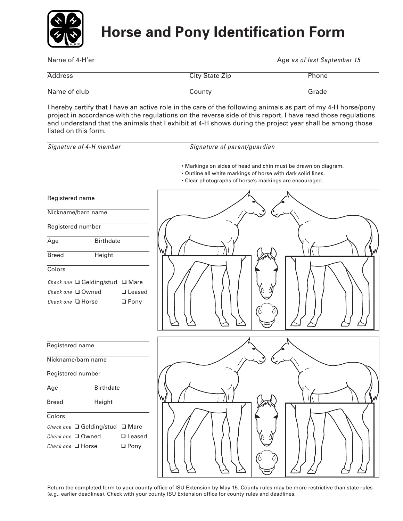

# **Horse and Pony Identification Form**

| Name of 4-H'er |                | Age as of last September 15 |
|----------------|----------------|-----------------------------|
| Address        | City State Zip | Phone                       |
| Name of club   | County         | Grade                       |

I hereby certify that I have an active role in the care of the following animals as part of my 4-H horse/pony project in accordance with the regulations on the reverse side of this report. I have read those regulations and understand that the animals that I exhibit at 4-H shows during the project year shall be among those listed on this form.

*Signature of 4-H member Signature of parent/guardian*

• Markings on sides of head and chin must be drawn on diagram.

- Outline all white markings of horse with dark solid lines.
- Clear photographs of horse's markings are encouraged.



Return the completed form to your county office of ISU Extension by May 15. County rules may be more restrictive than state rules (e.g., earlier deadlines). Check with your county ISU Extension office for county rules and deadlines.